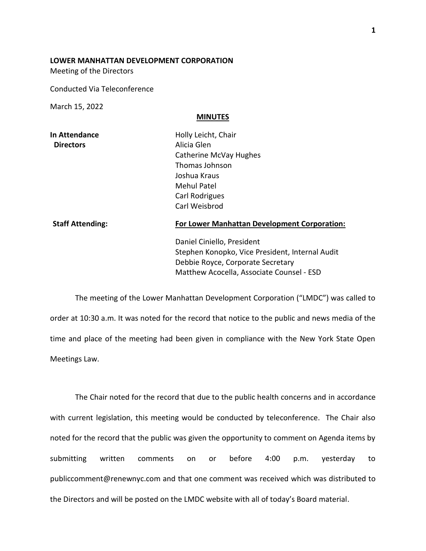## **LOWER MANHATTAN DEVELOPMENT CORPORATION**

Meeting of the Directors

Conducted Via Teleconference

March 15, 2022

## **MINUTES**

| In Attendance    |  |
|------------------|--|
| <b>Directors</b> |  |

**Holly Leicht, Chair Alicia Glen** Catherine McVay Hughes Thomas Johnson Joshua Kraus Mehul Patel Carl Rodrigues Carl Weisbrod

## **Staff Attending: For Lower Manhattan Development Corporation:**

Daniel Ciniello, President Stephen Konopko, Vice President, Internal Audit Debbie Royce, Corporate Secretary Matthew Acocella, Associate Counsel - ESD

The meeting of the Lower Manhattan Development Corporation ("LMDC") was called to order at 10:30 a.m. It was noted for the record that notice to the public and news media of the time and place of the meeting had been given in compliance with the New York State Open Meetings Law.

The Chair noted for the record that due to the public health concerns and in accordance with current legislation, this meeting would be conducted by teleconference. The Chair also noted for the record that the public was given the opportunity to comment on Agenda items by submitting written comments on or before 4:00 p.m. yesterday to publiccomment@renewnyc.com and that one comment was received which was distributed to the Directors and will be posted on the LMDC website with all of today's Board material.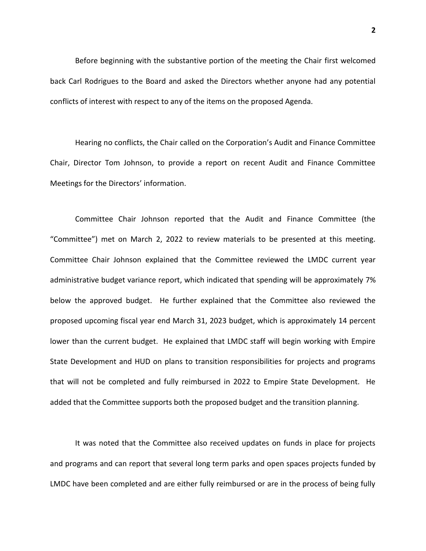Before beginning with the substantive portion of the meeting the Chair first welcomed back Carl Rodrigues to the Board and asked the Directors whether anyone had any potential conflicts of interest with respect to any of the items on the proposed Agenda.

Hearing no conflicts, the Chair called on the Corporation's Audit and Finance Committee Chair, Director Tom Johnson, to provide a report on recent Audit and Finance Committee Meetings for the Directors' information.

Committee Chair Johnson reported that the Audit and Finance Committee (the "Committee") met on March 2, 2022 to review materials to be presented at this meeting. Committee Chair Johnson explained that the Committee reviewed the LMDC current year administrative budget variance report, which indicated that spending will be approximately 7% below the approved budget. He further explained that the Committee also reviewed the proposed upcoming fiscal year end March 31, 2023 budget, which is approximately 14 percent lower than the current budget. He explained that LMDC staff will begin working with Empire State Development and HUD on plans to transition responsibilities for projects and programs that will not be completed and fully reimbursed in 2022 to Empire State Development. He added that the Committee supports both the proposed budget and the transition planning.

It was noted that the Committee also received updates on funds in place for projects and programs and can report that several long term parks and open spaces projects funded by LMDC have been completed and are either fully reimbursed or are in the process of being fully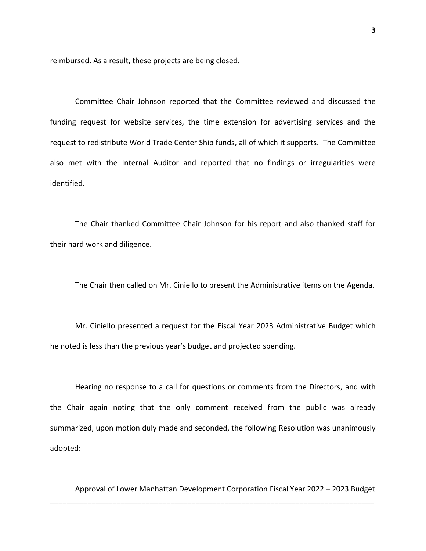reimbursed. As a result, these projects are being closed.

Committee Chair Johnson reported that the Committee reviewed and discussed the funding request for website services, the time extension for advertising services and the request to redistribute World Trade Center Ship funds, all of which it supports. The Committee also met with the Internal Auditor and reported that no findings or irregularities were identified.

The Chair thanked Committee Chair Johnson for his report and also thanked staff for their hard work and diligence.

The Chair then called on Mr. Ciniello to present the Administrative items on the Agenda.

Mr. Ciniello presented a request for the Fiscal Year 2023 Administrative Budget which he noted is less than the previous year's budget and projected spending.

Hearing no response to a call for questions or comments from the Directors, and with the Chair again noting that the only comment received from the public was already summarized, upon motion duly made and seconded, the following Resolution was unanimously adopted:

Approval of Lower Manhattan Development Corporation Fiscal Year 2022 – 2023 Budget

\_\_\_\_\_\_\_\_\_\_\_\_\_\_\_\_\_\_\_\_\_\_\_\_\_\_\_\_\_\_\_\_\_\_\_\_\_\_\_\_\_\_\_\_\_\_\_\_\_\_\_\_\_\_\_\_\_\_\_\_\_\_\_\_\_\_\_\_\_\_\_\_\_\_\_\_\_\_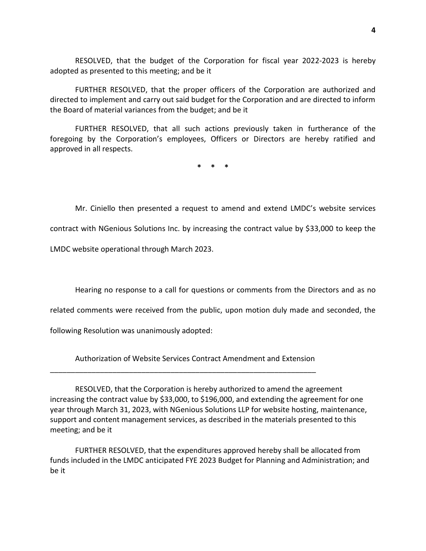RESOLVED, that the budget of the Corporation for fiscal year 2022-2023 is hereby adopted as presented to this meeting; and be it

FURTHER RESOLVED, that the proper officers of the Corporation are authorized and directed to implement and carry out said budget for the Corporation and are directed to inform the Board of material variances from the budget; and be it

FURTHER RESOLVED, that all such actions previously taken in furtherance of the foregoing by the Corporation's employees, Officers or Directors are hereby ratified and approved in all respects.

**\* \* \***

Mr. Ciniello then presented a request to amend and extend LMDC's website services

contract with NGenious Solutions Inc. by increasing the contract value by \$33,000 to keep the

LMDC website operational through March 2023.

Hearing no response to a call for questions or comments from the Directors and as no

related comments were received from the public, upon motion duly made and seconded, the

following Resolution was unanimously adopted:

Authorization of Website Services Contract Amendment and Extension

\_\_\_\_\_\_\_\_\_\_\_\_\_\_\_\_\_\_\_\_\_\_\_\_\_\_\_\_\_\_\_\_\_\_\_\_\_\_\_\_\_\_\_\_\_\_\_\_\_\_\_\_\_\_\_\_\_\_\_\_\_\_\_\_

RESOLVED, that the Corporation is hereby authorized to amend the agreement increasing the contract value by \$33,000, to \$196,000, and extending the agreement for one year through March 31, 2023, with NGenious Solutions LLP for website hosting, maintenance, support and content management services, as described in the materials presented to this meeting; and be it

FURTHER RESOLVED, that the expenditures approved hereby shall be allocated from funds included in the LMDC anticipated FYE 2023 Budget for Planning and Administration; and be it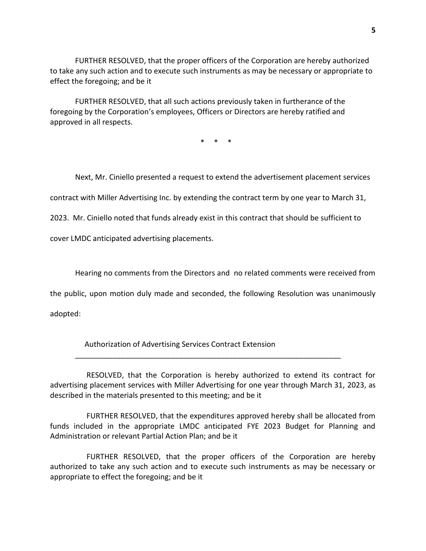FURTHER RESOLVED, that the proper officers of the Corporation are hereby authorized to take any such action and to execute such instruments as may be necessary or appropriate to effect the foregoing; and be it

FURTHER RESOLVED, that all such actions previously taken in furtherance of the foregoing by the Corporation's employees, Officers or Directors are hereby ratified and approved in all respects.

\* \* \*

Next, Mr. Ciniello presented a request to extend the advertisement placement services

contract with Miller Advertising Inc. by extending the contract term by one year to March 31,

2023. Mr. Ciniello noted that funds already exist in this contract that should be sufficient to

cover LMDC anticipated advertising placements.

Hearing no comments from the Directors and no related comments were received from

the public, upon motion duly made and seconded, the following Resolution was unanimously

adopted:

Authorization of Advertising Services Contract Extension

 RESOLVED, that the Corporation is hereby authorized to extend its contract for advertising placement services with Miller Advertising for one year through March 31, 2023, as described in the materials presented to this meeting; and be it

\_\_\_\_\_\_\_\_\_\_\_\_\_\_\_\_\_\_\_\_\_\_\_\_\_\_\_\_\_\_\_\_\_\_\_\_\_\_\_\_\_\_\_\_\_\_\_\_\_\_\_\_\_\_\_\_\_\_\_\_\_\_\_\_

 FURTHER RESOLVED, that the expenditures approved hereby shall be allocated from funds included in the appropriate LMDC anticipated FYE 2023 Budget for Planning and Administration or relevant Partial Action Plan; and be it

 FURTHER RESOLVED, that the proper officers of the Corporation are hereby authorized to take any such action and to execute such instruments as may be necessary or appropriate to effect the foregoing; and be it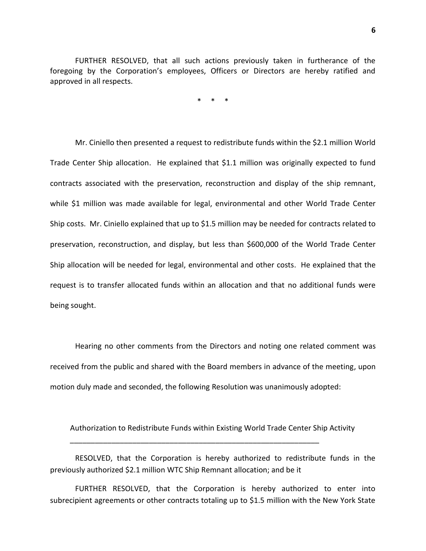FURTHER RESOLVED, that all such actions previously taken in furtherance of the foregoing by the Corporation's employees, Officers or Directors are hereby ratified and approved in all respects.

\* \* \*

Mr. Ciniello then presented a request to redistribute funds within the \$2.1 million World Trade Center Ship allocation. He explained that \$1.1 million was originally expected to fund contracts associated with the preservation, reconstruction and display of the ship remnant, while \$1 million was made available for legal, environmental and other World Trade Center Ship costs. Mr. Ciniello explained that up to \$1.5 million may be needed for contracts related to preservation, reconstruction, and display, but less than \$600,000 of the World Trade Center Ship allocation will be needed for legal, environmental and other costs. He explained that the request is to transfer allocated funds within an allocation and that no additional funds were being sought.

Hearing no other comments from the Directors and noting one related comment was received from the public and shared with the Board members in advance of the meeting, upon motion duly made and seconded, the following Resolution was unanimously adopted:

Authorization to Redistribute Funds within Existing World Trade Center Ship Activity

\_\_\_\_\_\_\_\_\_\_\_\_\_\_\_\_\_\_\_\_\_\_\_\_\_\_\_\_\_\_\_\_\_\_\_\_\_\_\_\_\_\_\_\_\_\_\_\_\_\_\_\_\_\_\_\_\_\_\_\_

RESOLVED, that the Corporation is hereby authorized to redistribute funds in the previously authorized \$2.1 million WTC Ship Remnant allocation; and be it

FURTHER RESOLVED, that the Corporation is hereby authorized to enter into subrecipient agreements or other contracts totaling up to \$1.5 million with the New York State